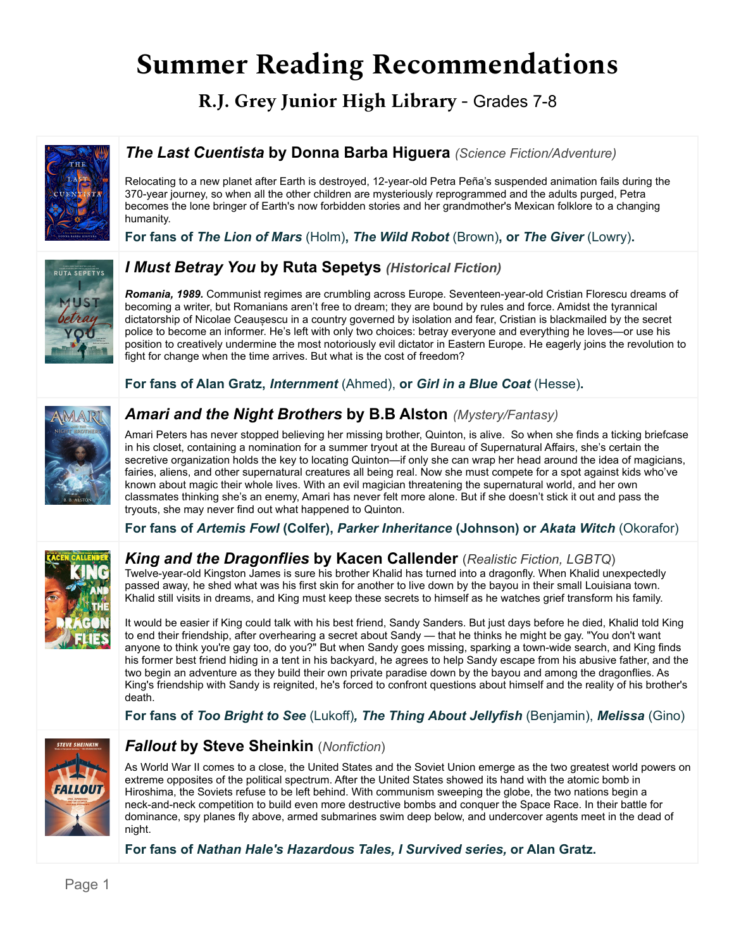# **Summer Reading Recommendations**

**R.J. Grey Junior High Library -** Grades 7-8



## *The Last Cuentista* **by Donna Barba Higuera** *(Science Fiction/Adventure)*

Relocating to a new planet after Earth is destroyed, 12-year-old Petra Peña's suspended animation fails during the 370-year journey, so when all the other children are mysteriously reprogrammed and the adults purged, Petra becomes the lone bringer of Earth's now forbidden stories and her grandmother's Mexican folklore to a changing humanity.

**For fans of** *The Lion of Mars* (Holm)**,** *The Wild Robot* (Brown)**, or** *The Giver* (Lowry)**.**



## *I Must Betray You* **by Ruta Sepetys** *(Historical Fiction)*

*Romania, 1989.* Communist regimes are crumbling across Europe. Seventeen-year-old Cristian Florescu dreams of becoming a writer, but Romanians aren't free to dream; they are bound by rules and force. Amidst the tyrannical dictatorship of Nicolae Ceaușescu in a country governed by isolation and fear, Cristian is blackmailed by the secret police to become an informer. He's left with only two choices: betray everyone and everything he loves—or use his position to creatively undermine the most notoriously evil dictator in Eastern Europe. He eagerly joins the revolution to fight for change when the time arrives. But what is the cost of freedom?

**For fans of Alan Gratz,** *Internment* (Ahmed), **or** *Girl in a Blue Coat* (Hesse)**.**



## *Amari and the Night Brothers* **by B.B Alston** *(Mystery/Fantasy)*

Amari Peters has never stopped believing her missing brother, Quinton, is alive. So when she finds a ticking briefcase in his closet, containing a nomination for a summer tryout at the Bureau of Supernatural Affairs, she's certain the secretive organization holds the key to locating Quinton—if only she can wrap her head around the idea of magicians, fairies, aliens, and other supernatural creatures all being real. Now she must compete for a spot against kids who've known about magic their whole lives. With an evil magician threatening the supernatural world, and her own classmates thinking she's an enemy, Amari has never felt more alone. But if she doesn't stick it out and pass the tryouts, she may never find out what happened to Quinton.

**For fans of** *Artemis Fowl* **(Colfer),** *Parker Inheritance* **(Johnson) or** *Akata Witch* (Okorafor)



## *King and the Dragonflies* **by Kacen Callender** (*Realistic Fiction, LGBTQ*)

Twelve-year-old Kingston James is sure his brother Khalid has turned into a dragonfly. When Khalid unexpectedly passed away, he shed what was his first skin for another to live down by the bayou in their small Louisiana town. Khalid still visits in dreams, and King must keep these secrets to himself as he watches grief transform his family.

It would be easier if King could talk with his best friend, Sandy Sanders. But just days before he died, Khalid told King to end their friendship, after overhearing a secret about Sandy — that he thinks he might be gay. "You don't want anyone to think you're gay too, do you?" But when Sandy goes missing, sparking a town-wide search, and King finds his former best friend hiding in a tent in his backyard, he agrees to help Sandy escape from his abusive father, and the two begin an adventure as they build their own private paradise down by the bayou and among the dragonflies. As King's friendship with Sandy is reignited, he's forced to confront questions about himself and the reality of his brother's death.

**For fans of** *Too Bright to See* (Lukoff)*, The Thing About Jellyfish* (Benjamin), *Melissa* (Gino)



#### *Fallout* **by Steve Sheinkin** (*Nonfiction*)

As World War II comes to a close, the United States and the Soviet Union emerge as the two greatest world powers on extreme opposites of the political spectrum. After the United States showed its hand with the atomic bomb in Hiroshima, the Soviets refuse to be left behind. With communism sweeping the globe, the two nations begin a neck-and-neck competition to build even more destructive bombs and conquer the Space Race. In their battle for dominance, spy planes fly above, armed submarines swim deep below, and undercover agents meet in the dead of night.

**For fans of** *Nathan Hale's Hazardous Tales, I Survived series,* **or Alan Gratz.**